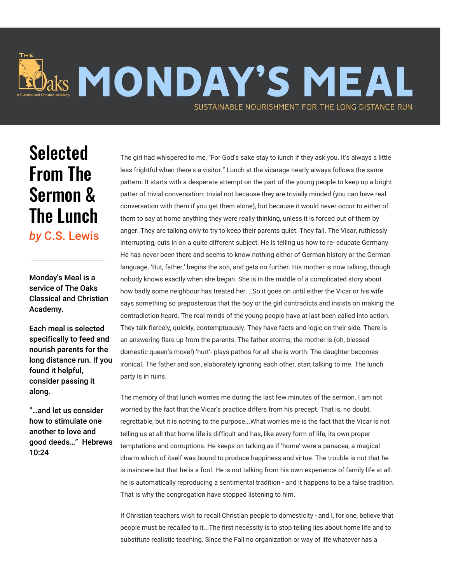

## **Selected** From The Sermon & The Lunch *by* C.S. Lewis

Monday's Meal is a service of The Oaks Classical and Christian Academy.

Each meal is selected specifically to feed and nourish parents for the long distance run. If you found it helpful, consider passing it along.

"…and let us consider how to stimulate one another to love and good deeds…" Hebrews 10:24

The girl had whispered to me, "For God's sake stay to lunch if they ask you. It's always a little less frightful when there's a visitor." Lunch at the vicarage nearly always follows the same pattern. It starts with a desperate attempt on the part of the young people to keep up a bright patter of trivial conversation: trivial not because they are trivially minded (you can have real conversation with them if you get them alone), but because it would never occur to either of them to say at home anything they were really thinking, unless it is forced out of them by anger. They are talking only to try to keep their parents quiet. They fail. The Vicar, ruthlessly interrupting, cuts in on a quite different subject. He is telling us how to re- educate Germany. He has never been there and seems to know nothing either of German history or the German language. 'But, father,' begins the son, and gets no further. His mother is now talking, though nobody knows exactly when she began. She is in the middle of a complicated story about how badly some neighbour has treated her....So it goes on until either the Vicar or his wife says something so preposterous that the boy or the girl contradicts and insists on making the contradiction heard. The real minds of the young people have at last been called into action. They talk fiercely, quickly, contemptuously. They have facts and logic on their side. There is an answering flare up from the parents. The father storms; the mother is (oh, blessed domestic queen's move!) 'hurt'- plays pathos for all she is worth. The daughter becomes ironical. The father and son, elaborately ignoring each other, start talking to me. The lunch party is in ruins.

The memory of that lunch worries me during the last few minutes of the sermon. I am not worried by the fact that the Vicar's practice differs from his precept. That is, no doubt, regrettable, but it is nothing to the purpose...What worries me is the fact that the Vicar is not telling us at all that home life is difficult and has, like every form of life, its own proper temptations and corruptions. He keeps on talking as if 'home' were a panacea, a magical charm which of itself was bound to produce happiness and virtue. The trouble is not that he is insincere but that he is a fool. He is not talking from his own experience of family life at all: he is automatically reproducing a sentimental tradition - and it happens to be a false tradition. That is why the congregation have stopped listening to him.

If Christian teachers wish to recall Christian people to domesticity - and I, for one, believe that people must be recalled to it...The first necessity is to stop telling lies about home life and to substitute realistic teaching. Since the Fall no organization or way of life whatever has a